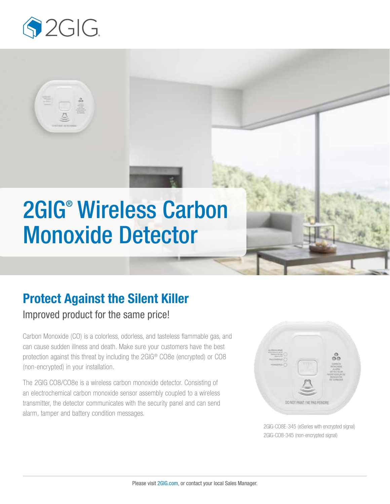

# 2GIG® Wireless Carbon Monoxide Detector

# Protect Against the Silent Killer

## Improved product for the same price!

Carbon Monoxide (CO) is a colorless, odorless, and tasteless flammable gas, and can cause sudden illness and death. Make sure your customers have the best protection against this threat by including the 2GIG® CO8e (encrypted) or CO8 (non-encrypted) in your installation.

The 2GIG CO8/CO8e is a wireless carbon monoxide detector. Consisting of an electrochemical carbon monoxide sensor assembly coupled to a wireless transmitter, the detector communicates with the security panel and can send alarm, tamper and battery condition messages.



2GIG-CO8E-345 (eSeries with encrypted signal) 2GIG-CO8-345 (non-encrypted signal)